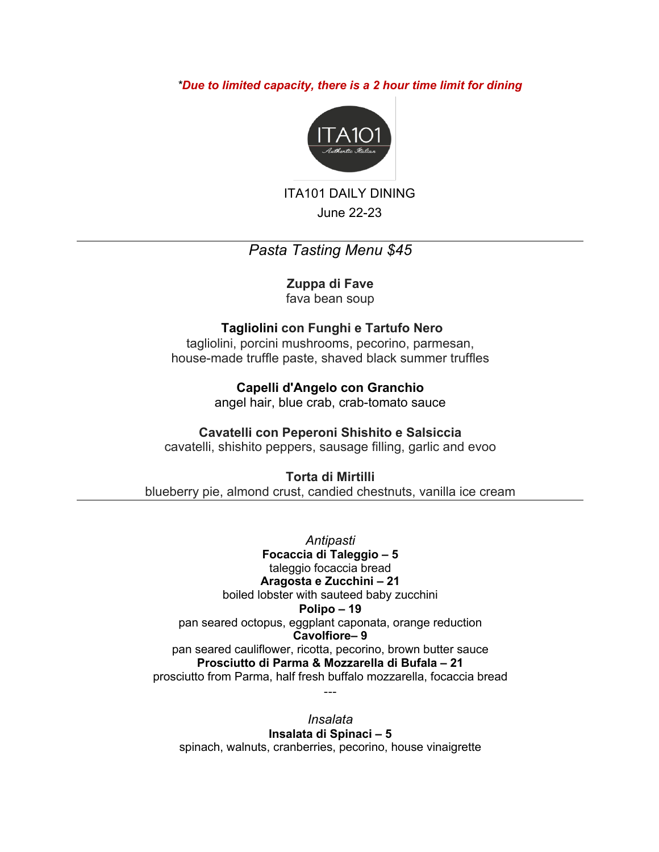### *\*Due to limited capacity, there is a 2 hour time limit for dining*



ITA101 DAILY DINING June 22-23

# *Pasta Tasting Menu \$45*

## **Zuppa di Fave**

fava bean soup

### **Tagliolini con Funghi e Tartufo Nero**

tagliolini, porcini mushrooms, pecorino, parmesan, house-made truffle paste, shaved black summer truffles

> **Capelli d'Angelo con Granchio** angel hair, blue crab, crab-tomato sauce

### **Cavatelli con Peperoni Shishito e Salsiccia**

cavatelli, shishito peppers, sausage filling, garlic and evoo

## **Torta di Mirtilli**

blueberry pie, almond crust, candied chestnuts, vanilla ice cream

*Antipasti* **Focaccia di Taleggio – 5** taleggio focaccia bread **Aragosta e Zucchini – 21** boiled lobster with sauteed baby zucchini **Polipo – 19** pan seared octopus, eggplant caponata, orange reduction **Cavolfiore– 9** pan seared cauliflower, ricotta, pecorino, brown butter sauce **Prosciutto di Parma & Mozzarella di Bufala – 21** prosciutto from Parma, half fresh buffalo mozzarella, focaccia bread

*Insalata* **Insalata di Spinaci – 5** spinach, walnuts, cranberries, pecorino, house vinaigrette

---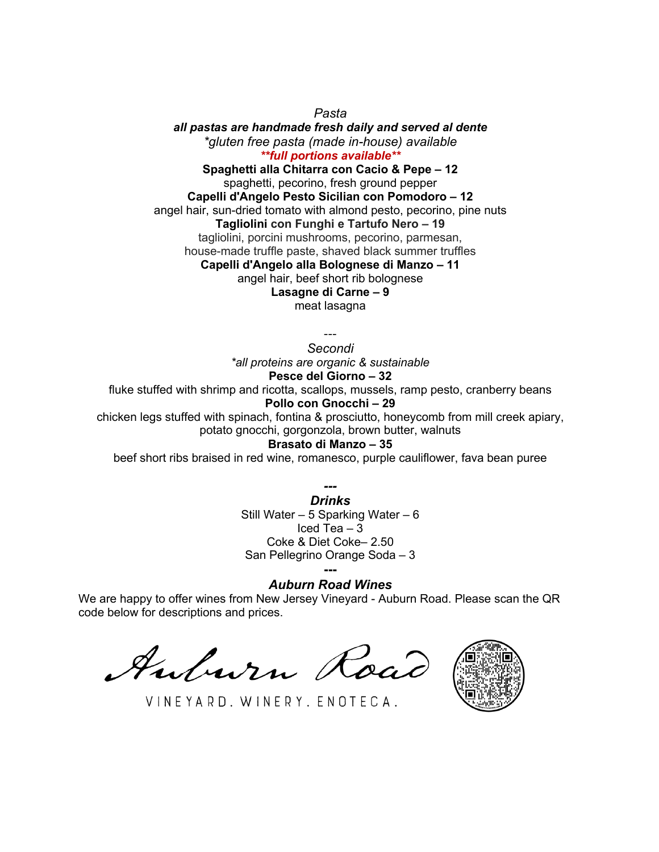*Pasta all pastas are handmade fresh daily and served al dente \*gluten free pasta (made in-house) available \*\*full portions available\*\**

**Spaghetti alla Chitarra con Cacio & Pepe – 12** spaghetti, pecorino, fresh ground pepper **Capelli d'Angelo Pesto Sicilian con Pomodoro – 12** angel hair, sun-dried tomato with almond pesto, pecorino, pine nuts **Tagliolini con Funghi e Tartufo Nero – 19** tagliolini, porcini mushrooms, pecorino, parmesan, house-made truffle paste, shaved black summer truffles **Capelli d'Angelo alla Bolognese di Manzo – 11** angel hair, beef short rib bolognese **Lasagne di Carne – 9** meat lasagna

---

*Secondi \*all proteins are organic & sustainable* **Pesce del Giorno – 32**

fluke stuffed with shrimp and ricotta, scallops, mussels, ramp pesto, cranberry beans **Pollo con Gnocchi – 29**

chicken legs stuffed with spinach, fontina & prosciutto, honeycomb from mill creek apiary, potato gnocchi, gorgonzola, brown butter, walnuts

### **Brasato di Manzo – 35**

beef short ribs braised in red wine, romanesco, purple cauliflower, fava bean puree

*--- Drinks* Still Water – 5 Sparking Water – 6 Iced Tea – 3 Coke & Diet Coke– 2.50 San Pellegrino Orange Soda – 3 **---**

*Auburn Road Wines*

We are happy to offer wines from New Jersey Vineyard - Auburn Road. Please scan the QR code below for descriptions and prices.

Auburn Road



VINEYARD, WINERY, ENOTECA.